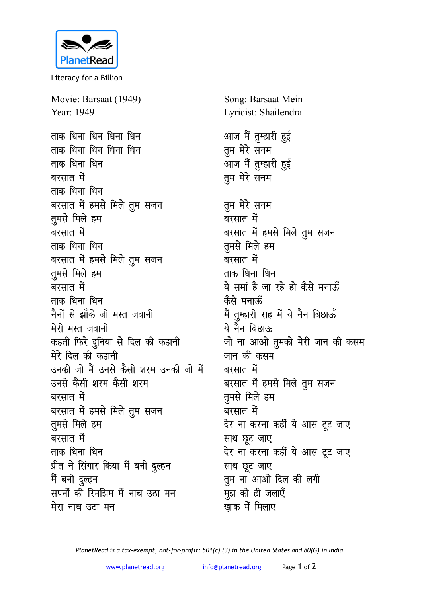

Literacy for a Billion

Movie: Barsaat (1949) Year: 1949 <u>ताक धिना धिन धिना धिन</u> <u>ताक धिना धिन धिना धिन</u> ताक धिना धि**न** बरसात में ताक धिना धि**न** बरसात में हमसे मिले <u>त</u>ुम सजन **तूमसे** मिले हम बरसात में ताक धिना धि**न** बरसात में हमसे मिले तुम सजन **तूमसे** मिले हम बरसात में **ताक धिना** धिन नैनों से झाँकें जी मस्त जवानी मेरी मस्त जवानी कहती फिरे दुनिया से दिल की कहानी मेरे दिल की कहानी उनकी जो मैं उनसे कैसी शरम उनकी जो में उनसे कैसी शरम कैसी **शर**म बरसात में बरसात में हमसे मिले तुम सजन **तूमसे** मिले हम बरसात में ताक धिना धि**न प्रीत ने सिंगार किया मैं बनी दुल्हन** में बनी दुल्हन सपनों की रिमझिम में नाच उठा मन मेरा नाच उठा मन

Song: Barsaat Mein Lyricist: Shailendra आज मैं तुम्हारी <u>ह</u>ुई **तुम** मेरे सनम <u>आज मैं तु</u>म्हारी हुई **तुम** मेरे सनम **तुम मेरे सनम** बरसात में बरसात में हमसे मिले तुम सजन **तुमसे** मिले हम बरसात में ताक धिना धि**न** ये समां है जा रहे हो कैसे मनाऊँ केसे मनारूँ <u>मैं तु</u>म्हारी राह में ये नैन बिछाऊँ ये नैन बिछाऊ जो ना आओ तुमको मेरी जान की कसम जान की कसम बरसात में बरसात में हमसे मिले <u>त</u>ुम सजन **तुमसे** मिले हम बरसात में देर ना करना कहीं ये आस टूट जाए **साथ छूट जाए** देर ना करना कहीं ये आस टूट जाए **साथ छूट जाए** तुम ना आओ दिल की लगी मुझ को ही जलाएँ खाक में मिलाए

*PlanetRead is a tax-exempt, not-for-profit: 501(c) (3) in the United States and 80(G) in India.*